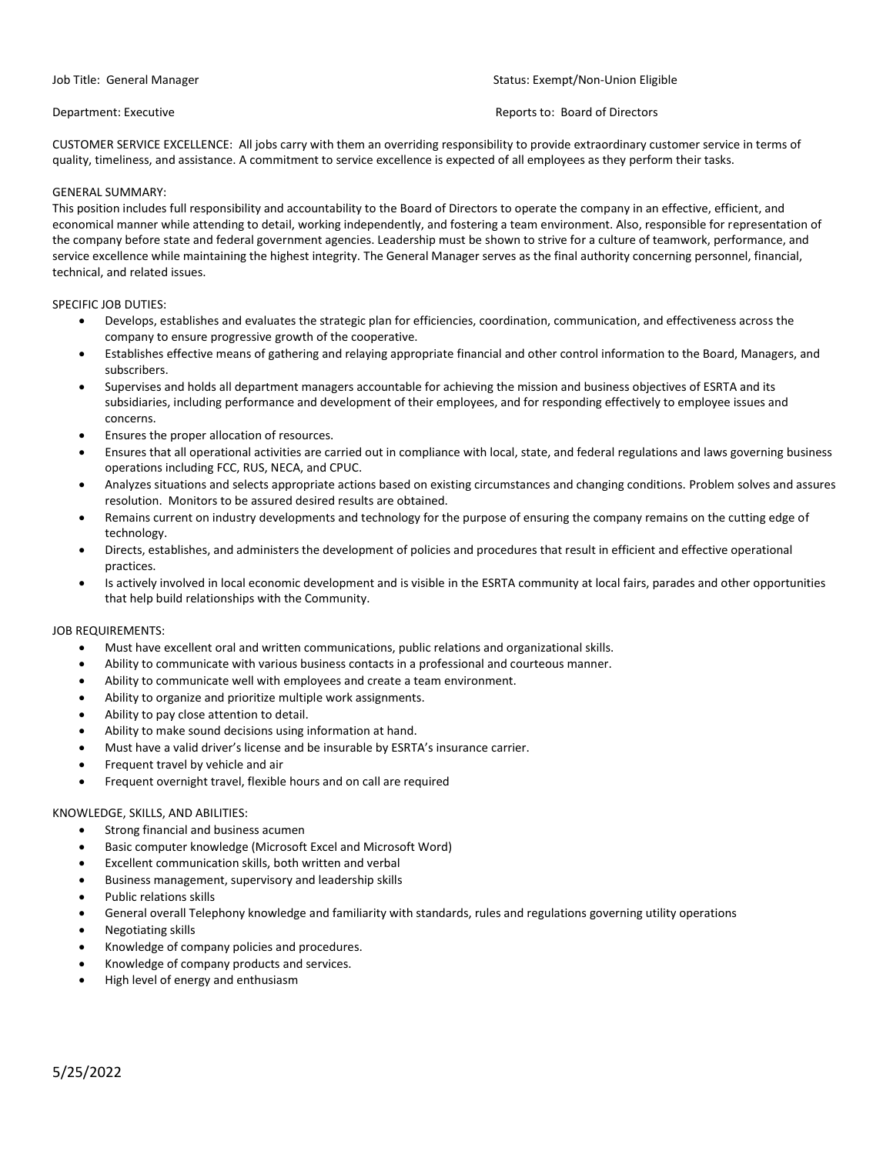# Job Title: General Manager **Status: Exempt/Non-Union Eligible** Status: Exempt/Non-Union Eligible

# Department: Executive **Reports to: Board of Directors**

CUSTOMER SERVICE EXCELLENCE: All jobs carry with them an overriding responsibility to provide extraordinary customer service in terms of quality, timeliness, and assistance. A commitment to service excellence is expected of all employees as they perform their tasks.

### GENERAL SUMMARY:

This position includes full responsibility and accountability to the Board of Directors to operate the company in an effective, efficient, and economical manner while attending to detail, working independently, and fostering a team environment. Also, responsible for representation of the company before state and federal government agencies. Leadership must be shown to strive for a culture of teamwork, performance, and service excellence while maintaining the highest integrity. The General Manager serves as the final authority concerning personnel, financial, technical, and related issues.

### SPECIFIC JOB DUTIES:

- Develops, establishes and evaluates the strategic plan for efficiencies, coordination, communication, and effectiveness across the company to ensure progressive growth of the cooperative.
- Establishes effective means of gathering and relaying appropriate financial and other control information to the Board, Managers, and subscribers.
- Supervises and holds all department managers accountable for achieving the mission and business objectives of ESRTA and its subsidiaries, including performance and development of their employees, and for responding effectively to employee issues and concerns.
- Ensures the proper allocation of resources.
- Ensures that all operational activities are carried out in compliance with local, state, and federal regulations and laws governing business operations including FCC, RUS, NECA, and CPUC.
- Analyzes situations and selects appropriate actions based on existing circumstances and changing conditions. Problem solves and assures resolution. Monitors to be assured desired results are obtained.
- Remains current on industry developments and technology for the purpose of ensuring the company remains on the cutting edge of technology.
- Directs, establishes, and administers the development of policies and procedures that result in efficient and effective operational practices.
- Is actively involved in local economic development and is visible in the ESRTA community at local fairs, parades and other opportunities that help build relationships with the Community.

# JOB REQUIREMENTS:

- Must have excellent oral and written communications, public relations and organizational skills.
- Ability to communicate with various business contacts in a professional and courteous manner.
- Ability to communicate well with employees and create a team environment.
- Ability to organize and prioritize multiple work assignments.
- Ability to pay close attention to detail.
- Ability to make sound decisions using information at hand.
- Must have a valid driver's license and be insurable by ESRTA's insurance carrier.
- Frequent travel by vehicle and air
- Frequent overnight travel, flexible hours and on call are required

# KNOWLEDGE, SKILLS, AND ABILITIES:

- Strong financial and business acumen
- Basic computer knowledge (Microsoft Excel and Microsoft Word)
- Excellent communication skills, both written and verbal
- Business management, supervisory and leadership skills
- Public relations skills
- General overall Telephony knowledge and familiarity with standards, rules and regulations governing utility operations
- Negotiating skills
- Knowledge of company policies and procedures.
- Knowledge of company products and services.
- High level of energy and enthusiasm